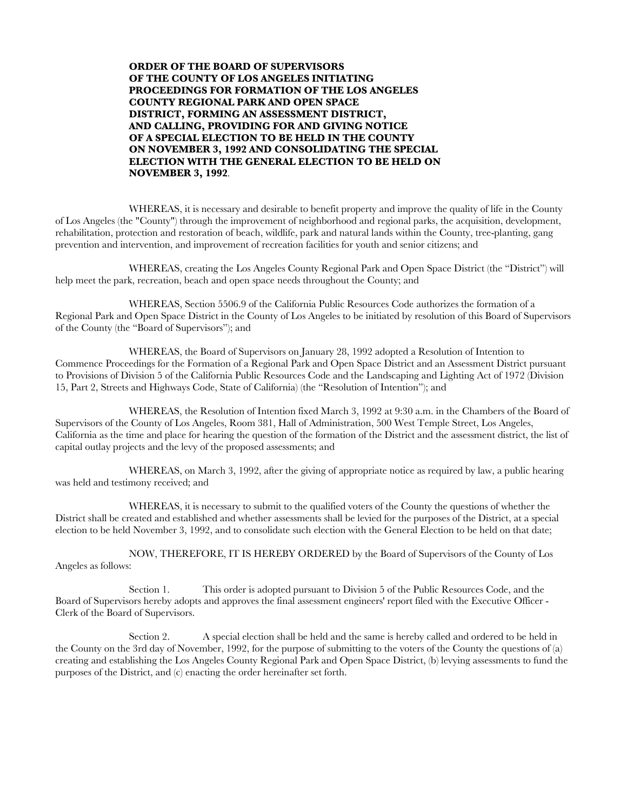**ORDER OF THE BOARD OF SUPERVISORS OF THE COUNTY OF LOS ANGELES INITIATING PROCEEDINGS FOR FORMATION OF THE LOS ANGELES COUNTY REGIONAL PARK AND OPEN SPACE DISTRICT, FORMING AN ASSESSMENT DISTRICT, AND CALLING, PROVIDING FOR AND GIVING NOTICE OF A SPECIAL ELECTION TO BE HELD IN THE COUNTY ON NOVEMBER 3, 1992 AND CONSOLIDATING THE SPECIAL ELECTION WITH THE GENERAL ELECTION TO BE HELD ON NOVEMBER 3, 1992**.

WHEREAS, it is necessary and desirable to benefit property and improve the quality of life in the County of Los Angeles (the "County") through the improvement of neighborhood and regional parks, the acquisition, development, rehabilitation, protection and restoration of beach, wildlife, park and natural lands within the County, tree-planting, gang prevention and intervention, and improvement of recreation facilities for youth and senior citizens; and

WHEREAS, creating the Los Angeles County Regional Park and Open Space District (the "District") will help meet the park, recreation, beach and open space needs throughout the County; and

WHEREAS, Section 5506.9 of the California Public Resources Code authorizes the formation of a Regional Park and Open Space District in the County of Los Angeles to be initiated by resolution of this Board of Supervisors of the County (the "Board of Supervisors"); and

WHEREAS, the Board of Supervisors on January 28, 1992 adopted a Resolution of Intention to Commence Proceedings for the Formation of a Regional Park and Open Space District and an Assessment District pursuant to Provisions of Division 5 of the California Public Resources Code and the Landscaping and Lighting Act of 1972 (Division 15, Part 2, Streets and Highways Code, State of California) (the "Resolution of Intention"); and

WHEREAS, the Resolution of Intention fixed March 3, 1992 at 9:30 a.m. in the Chambers of the Board of Supervisors of the County of Los Angeles, Room 381, Hall of Administration, 500 West Temple Street, Los Angeles, California as the time and place for hearing the question of the formation of the District and the assessment district, the list of capital outlay projects and the levy of the proposed assessments; and

WHEREAS, on March 3, 1992, after the giving of appropriate notice as required by law, a public hearing was held and testimony received; and

WHEREAS, it is necessary to submit to the qualified voters of the County the questions of whether the District shall be created and established and whether assessments shall be levied for the purposes of the District, at a special election to be held November 3, 1992, and to consolidate such election with the General Election to be held on that date;

NOW, THEREFORE, IT IS HEREBY ORDERED by the Board of Supervisors of the County of Los Angeles as follows:

Section 1. This order is adopted pursuant to Division 5 of the Public Resources Code, and the Board of Supervisors hereby adopts and approves the final assessment engineers' report filed with the Executive Officer - Clerk of the Board of Supervisors.

Section 2. A special election shall be held and the same is hereby called and ordered to be held in the County on the 3rd day of November, 1992, for the purpose of submitting to the voters of the County the questions of (a) creating and establishing the Los Angeles County Regional Park and Open Space District, (b) levying assessments to fund the purposes of the District, and (c) enacting the order hereinafter set forth.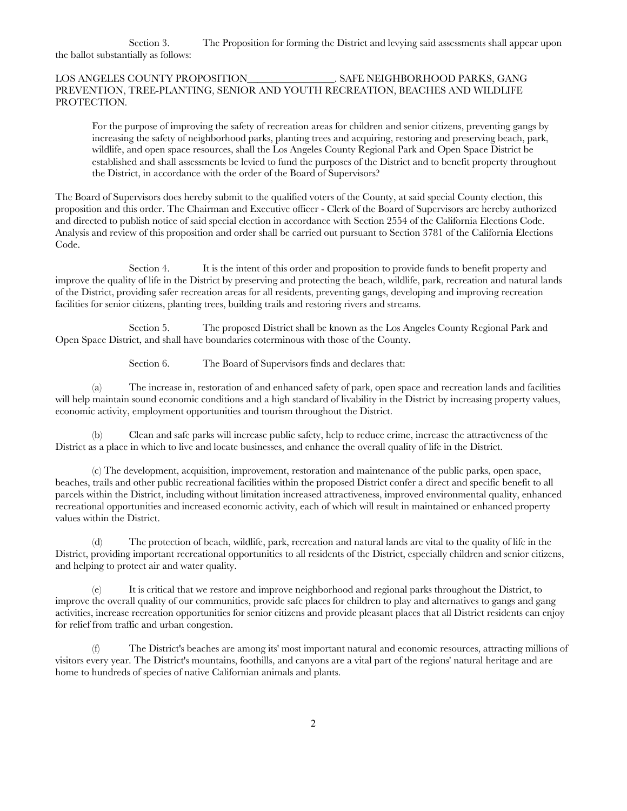Section 3. The Proposition for forming the District and levying said assessments shall appear upon the ballot substantially as follows:

## LOS ANGELES COUNTY PROPOSITION\_\_\_\_\_\_\_\_\_\_\_\_\_\_\_\_\_. SAFE NEIGHBORHOOD PARKS, GANG PREVENTION, TREE-PLANTING, SENIOR AND YOUTH RECREATION, BEACHES AND WILDLIFE PROTECTION.

For the purpose of improving the safety of recreation areas for children and senior citizens, preventing gangs by increasing the safety of neighborhood parks, planting trees and acquiring, restoring and preserving beach, park, wildlife, and open space resources, shall the Los Angeles County Regional Park and Open Space District be established and shall assessments be levied to fund the purposes of the District and to benefit property throughout the District, in accordance with the order of the Board of Supervisors?

The Board of Supervisors does hereby submit to the qualified voters of the County, at said special County election, this proposition and this order. The Chairman and Executive officer - Clerk of the Board of Supervisors are hereby authorized and directed to publish notice of said special election in accordance with Section 2554 of the California Elections Code. Analysis and review of this proposition and order shall be carried out pursuant to Section 3781 of the California Elections Code.

Section 4. It is the intent of this order and proposition to provide funds to benefit property and improve the quality of life in the District by preserving and protecting the beach, wildlife, park, recreation and natural lands of the District, providing safer recreation areas for all residents, preventing gangs, developing and improving recreation facilities for senior citizens, planting trees, building trails and restoring rivers and streams.

Section 5. The proposed District shall be known as the Los Angeles County Regional Park and Open Space District, and shall have boundaries coterminous with those of the County.

Section 6. The Board of Supervisors finds and declares that:

(a) The increase in, restoration of and enhanced safety of park, open space and recreation lands and facilities will help maintain sound economic conditions and a high standard of livability in the District by increasing property values, economic activity, employment opportunities and tourism throughout the District.

(b) Clean and safe parks will increase public safety, help to reduce crime, increase the attractiveness of the District as a place in which to live and locate businesses, and enhance the overall quality of life in the District.

(c) The development, acquisition, improvement, restoration and maintenance of the public parks, open space, beaches, trails and other public recreational facilities within the proposed District confer a direct and specific benefit to all parcels within the District, including without limitation increased attractiveness, improved environmental quality, enhanced recreational opportunities and increased economic activity, each of which will result in maintained or enhanced property values within the District.

(d) The protection of beach, wildlife, park, recreation and natural lands are vital to the quality of life in the District, providing important recreational opportunities to all residents of the District, especially children and senior citizens, and helping to protect air and water quality.

(e) It is critical that we restore and improve neighborhood and regional parks throughout the District, to improve the overall quality of our communities, provide safe places for children to play and alternatives to gangs and gang activities, increase recreation opportunities for senior citizens and provide pleasant places that all District residents can enjoy for relief from traffic and urban congestion.

(f) The District's beaches are among its' most important natural and economic resources, attracting millions of visitors every year. The District's mountains, foothills, and canyons are a vital part of the regions' natural heritage and are home to hundreds of species of native Californian animals and plants.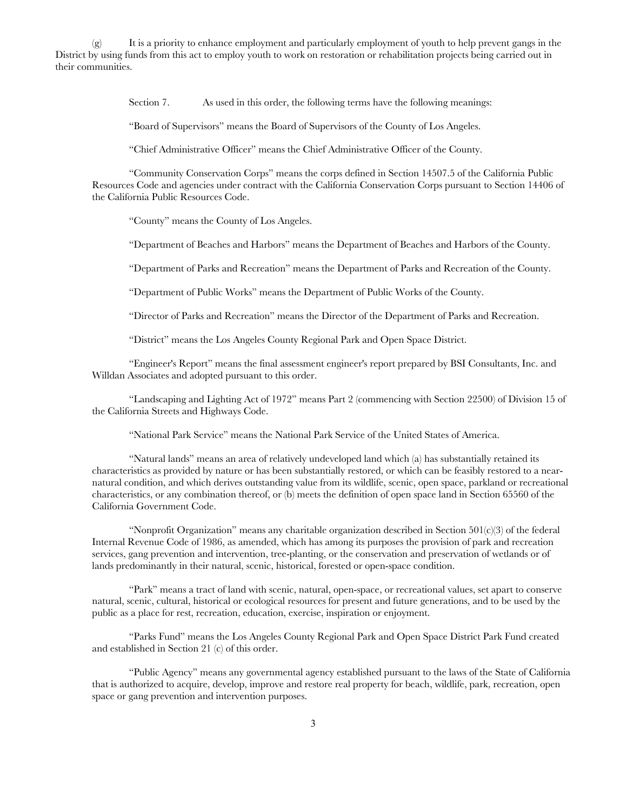$(g)$  It is a priority to enhance employment and particularly employment of youth to help prevent gangs in the District by using funds from this act to employ youth to work on restoration or rehabilitation projects being carried out in their communities.

Section 7. As used in this order, the following terms have the following meanings:

"Board of Supervisors" means the Board of Supervisors of the County of Los Angeles.

"Chief Administrative Officer" means the Chief Administrative Officer of the County.

"Community Conservation Corps" means the corps defined in Section 14507.5 of the California Public Resources Code and agencies under contract with the California Conservation Corps pursuant to Section 14406 of the California Public Resources Code.

"County" means the County of Los Angeles.

"Department of Beaches and Harbors" means the Department of Beaches and Harbors of the County.

"Department of Parks and Recreation" means the Department of Parks and Recreation of the County.

"Department of Public Works" means the Department of Public Works of the County.

"Director of Parks and Recreation" means the Director of the Department of Parks and Recreation.

"District" means the Los Angeles County Regional Park and Open Space District.

"Engineer's Report" means the final assessment engineer's report prepared by BSI Consultants, Inc. and Willdan Associates and adopted pursuant to this order.

"Landscaping and Lighting Act of 1972" means Part 2 (commencing with Section 22500) of Division 15 of the California Streets and Highways Code.

"National Park Service" means the National Park Service of the United States of America.

"Natural lands" means an area of relatively undeveloped land which (a) has substantially retained its characteristics as provided by nature or has been substantially restored, or which can be feasibly restored to a nearnatural condition, and which derives outstanding value from its wildlife, scenic, open space, parkland or recreational characteristics, or any combination thereof, or (b) meets the definition of open space land in Section 65560 of the California Government Code.

"Nonprofit Organization" means any charitable organization described in Section  $501(c)(3)$  of the federal Internal Revenue Code of 1986, as amended, which has among its purposes the provision of park and recreation services, gang prevention and intervention, tree-planting, or the conservation and preservation of wetlands or of lands predominantly in their natural, scenic, historical, forested or open-space condition.

"Park" means a tract of land with scenic, natural, open-space, or recreational values, set apart to conserve natural, scenic, cultural, historical or ecological resources for present and future generations, and to be used by the public as a place for rest, recreation, education, exercise, inspiration or enjoyment.

"Parks Fund" means the Los Angeles County Regional Park and Open Space District Park Fund created and established in Section 21 (c) of this order.

"Public Agency" means any governmental agency established pursuant to the laws of the State of California that is authorized to acquire, develop, improve and restore real property for beach, wildlife, park, recreation, open space or gang prevention and intervention purposes.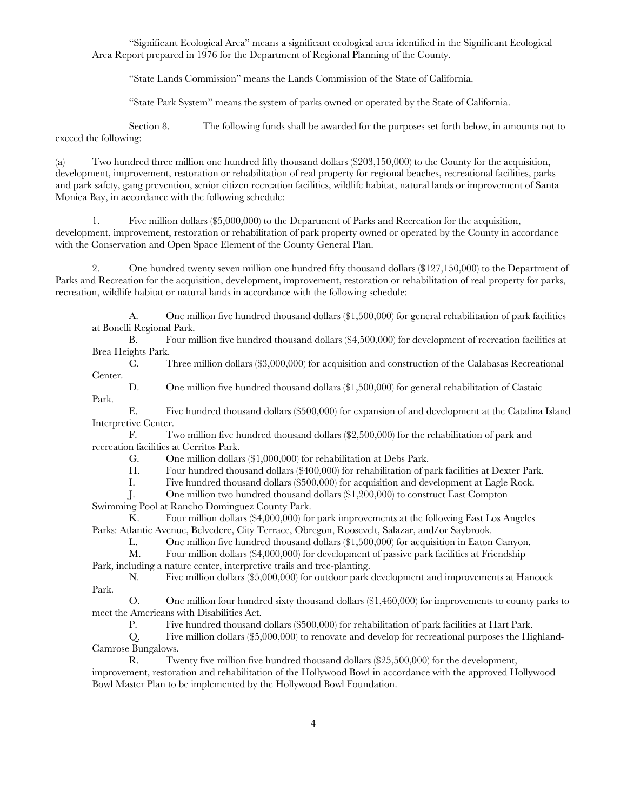"Significant Ecological Area" means a significant ecological area identified in the Significant Ecological Area Report prepared in 1976 for the Department of Regional Planning of the County.

"State Lands Commission" means the Lands Commission of the State of California.

"State Park System" means the system of parks owned or operated by the State of California.

Section 8. The following funds shall be awarded for the purposes set forth below, in amounts not to exceed the following:

(a) Two hundred three million one hundred fifty thousand dollars (\$203,150,000) to the County for the acquisition, development, improvement, restoration or rehabilitation of real property for regional beaches, recreational facilities, parks and park safety, gang prevention, senior citizen recreation facilities, wildlife habitat, natural lands or improvement of Santa Monica Bay, in accordance with the following schedule:

1. Five million dollars (\$5,000,000) to the Department of Parks and Recreation for the acquisition, development, improvement, restoration or rehabilitation of park property owned or operated by the County in accordance with the Conservation and Open Space Element of the County General Plan.

2. One hundred twenty seven million one hundred fifty thousand dollars (\$127,150,000) to the Department of Parks and Recreation for the acquisition, development, improvement, restoration or rehabilitation of real property for parks, recreation, wildlife habitat or natural lands in accordance with the following schedule:

A. One million five hundred thousand dollars (\$1,500,000) for general rehabilitation of park facilities at Bonelli Regional Park.

B. Four million five hundred thousand dollars (\$4,500,000) for development of recreation facilities at Brea Heights Park.

C. Three million dollars (\$3,000,000) for acquisition and construction of the Calabasas Recreational Center.

D. One million five hundred thousand dollars (\$1,500,000) for general rehabilitation of Castaic Park.

E. Five hundred thousand dollars (\$500,000) for expansion of and development at the Catalina Island Interpretive Center.

F. Two million five hundred thousand dollars (\$2,500,000) for the rehabilitation of park and recreation facilities at Cerritos Park.

G. One million dollars (\$1,000,000) for rehabilitation at Debs Park.

H. Four hundred thousand dollars (\$400,000) for rehabilitation of park facilities at Dexter Park.

I. Five hundred thousand dollars (\$500,000) for acquisition and development at Eagle Rock.

J. One million two hundred thousand dollars (\$1,200,000) to construct East Compton Swimming Pool at Rancho Dominguez County Park.

 $\tilde{K}$ . Four million dollars (\$4,000,000) for park improvements at the following East Los Angeles Parks: Atlantic Avenue, Belvedere, City Terrace, Obregon, Roosevelt, Salazar, and/or Saybrook.

L. One million five hundred thousand dollars (\$1,500,000) for acquisition in Eaton Canyon.

M. Four million dollars (\$4,000,000) for development of passive park facilities at Friendship Park, including a nature center, interpretive trails and tree-planting.

N. Five million dollars (\$5,000,000) for outdoor park development and improvements at Hancock Park.

O. One million four hundred sixty thousand dollars (\$1,460,000) for improvements to county parks to meet the Americans with Disabilities Act.

P. Five hundred thousand dollars (\$500,000) for rehabilitation of park facilities at Hart Park.

Q. Five million dollars (\$5,000,000) to renovate and develop for recreational purposes the Highland-Camrose Bungalows.

R. Twenty five million five hundred thousand dollars (\$25,500,000) for the development, improvement, restoration and rehabilitation of the Hollywood Bowl in accordance with the approved Hollywood Bowl Master Plan to be implemented by the Hollywood Bowl Foundation.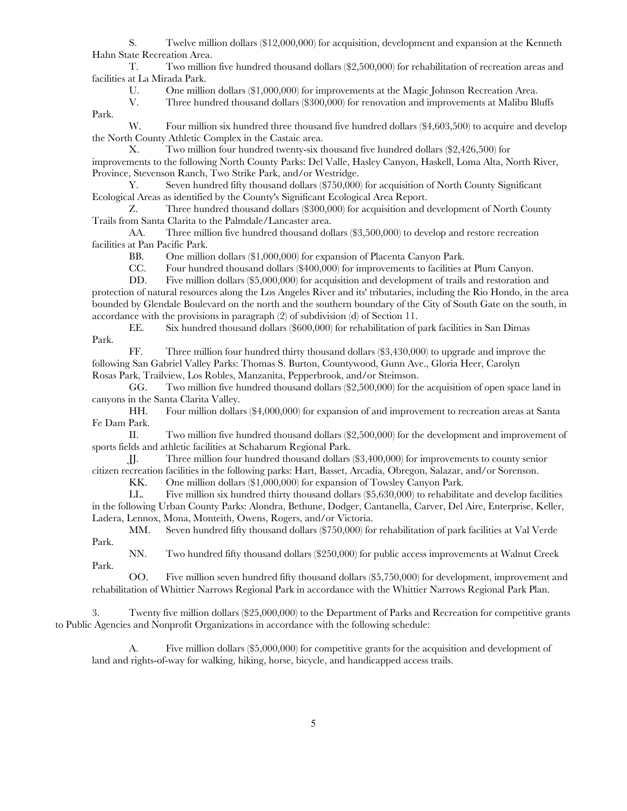S. Twelve million dollars (\$12,000,000) for acquisition, development and expansion at the Kenneth Hahn State Recreation Area.

T. Two million five hundred thousand dollars (\$2,500,000) for rehabilitation of recreation areas and facilities at La Mirada Park.

U. One million dollars (\$1,000,000) for improvements at the Magic Johnson Recreation Area.<br>V. Three hundred thousand dollars (\$300,000) for renovation and improvements at Malibu Bl

Three hundred thousand dollars (\$300,000) for renovation and improvements at Malibu Bluffs

Park.

W. Four million six hundred three thousand five hundred dollars (\$4,603,500) to acquire and develop the North County Athletic Complex in the Castaic area.

X. Two million four hundred twenty-six thousand five hundred dollars (\$2,426,500) for improvements to the following North County Parks: Del Valle, Hasley Canyon, Haskell, Loma Alta, North River, Province, Stevenson Ranch, Two Strike Park, and/or Westridge.

Y. Seven hundred fifty thousand dollars (\$750,000) for acquisition of North County Significant Ecological Areas as identified by the County's Significant Ecological Area Report.

Z. Three hundred thousand dollars (\$300,000) for acquisition and development of North County Trails from Santa Clarita to the Palmdale/Lancaster area.

AA. Three million five hundred thousand dollars (\$3,500,000) to develop and restore recreation facilities at Pan Pacific Park.

BB. One million dollars (\$1,000,000) for expansion of Placenta Canyon Park.

CC. Four hundred thousand dollars (\$400,000) for improvements to facilities at Plum Canyon.

DD. Five million dollars (\$5,000,000) for acquisition and development of trails and restoration and protection of natural resources along the Los Angeles River and its' tributaries, including the Rio Hondo, in the area bounded by Glendale Boulevard on the north and the southern boundary of the City of South Gate on the south, in accordance with the provisions in paragraph (2) of subdivision (d) of Section 11.

EE. Six hundred thousand dollars (\$600,000) for rehabilitation of park facilities in San Dimas Park.

FF. Three million four hundred thirty thousand dollars (\$3,430,000) to upgrade and improve the following San Gabriel Valley Parks: Thomas S. Burton, Countywood, Gunn Ave., Gloria Heer, Carolyn Rosas Park, Trailview, Los Robles, Manzanita, Pepperbrook, and/or Steimson.

GG. Two million five hundred thousand dollars (\$2,500,000) for the acquisition of open space land in canyons in the Santa Clarita Valley.

HH. Four million dollars (\$4,000,000) for expansion of and improvement to recreation areas at Santa Fe Dam Park.

II. Two million five hundred thousand dollars (\$2,500,000) for the development and improvement of sports fields and athletic facilities at Schabarum Regional Park.

JJ. Three million four hundred thousand dollars (\$3,400,000) for improvements to county senior citizen recreation facilities in the following parks: Hart, Basset, Arcadia, Obregon, Salazar, and/or Sorenson.

KK. One million dollars (\$1,000,000) for expansion of Towsley Canyon Park.

LL. Five million six hundred thirty thousand dollars (\$5,630,000) to rehabilitate and develop facilities in the following Urban County Parks: Alondra, Bethune, Dodger, Cantanella, Carver, Del Aire, Enterprise, Keller, Ladera, Lennox, Mona, Monteith, Owens, Rogers, and/or Victoria.

MM. Seven hundred fifty thousand dollars (\$750,000) for rehabilitation of park facilities at Val Verde Park.

NN. Two hundred fifty thousand dollars (\$250,000) for public access improvements at Walnut Creek Park.

OO. Five million seven hundred fifty thousand dollars (\$5,750,000) for development, improvement and rehabilitation of Whittier Narrows Regional Park in accordance with the Whittier Narrows Regional Park Plan.

3. Twenty five million dollars (\$25,000,000) to the Department of Parks and Recreation for competitive grants to Public Agencies and Nonprofit Organizations in accordance with the following schedule:

A. Five million dollars (\$5,000,000) for competitive grants for the acquisition and development of land and rights-of-way for walking, hiking, horse, bicycle, and handicapped access trails.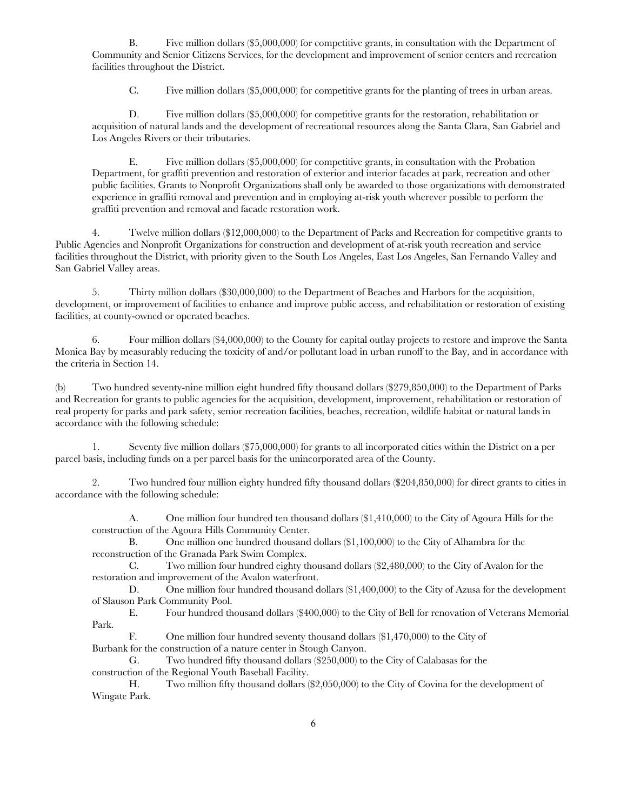B. Five million dollars (\$5,000,000) for competitive grants, in consultation with the Department of Community and Senior Citizens Services, for the development and improvement of senior centers and recreation facilities throughout the District.

C. Five million dollars (\$5,000,000) for competitive grants for the planting of trees in urban areas.

D. Five million dollars (\$5,000,000) for competitive grants for the restoration, rehabilitation or acquisition of natural lands and the development of recreational resources along the Santa Clara, San Gabriel and Los Angeles Rivers or their tributaries.

E. Five million dollars (\$5,000,000) for competitive grants, in consultation with the Probation Department, for graffiti prevention and restoration of exterior and interior facades at park, recreation and other public facilities. Grants to Nonprofit Organizations shall only be awarded to those organizations with demonstrated experience in graffiti removal and prevention and in employing at-risk youth wherever possible to perform the graffiti prevention and removal and facade restoration work.

4. Twelve million dollars (\$12,000,000) to the Department of Parks and Recreation for competitive grants to Public Agencies and Nonprofit Organizations for construction and development of at-risk youth recreation and service facilities throughout the District, with priority given to the South Los Angeles, East Los Angeles, San Fernando Valley and San Gabriel Valley areas.

5. Thirty million dollars (\$30,000,000) to the Department of Beaches and Harbors for the acquisition, development, or improvement of facilities to enhance and improve public access, and rehabilitation or restoration of existing facilities, at county-owned or operated beaches.

6. Four million dollars (\$4,000,000) to the County for capital outlay projects to restore and improve the Santa Monica Bay by measurably reducing the toxicity of and/or pollutant load in urban runoff to the Bay, and in accordance with the criteria in Section 14.

(b) Two hundred seventy-nine million eight hundred fifty thousand dollars (\$279,850,000) to the Department of Parks and Recreation for grants to public agencies for the acquisition, development, improvement, rehabilitation or restoration of real property for parks and park safety, senior recreation facilities, beaches, recreation, wildlife habitat or natural lands in accordance with the following schedule:

1. Seventy five million dollars (\$75,000,000) for grants to all incorporated cities within the District on a per parcel basis, including funds on a per parcel basis for the unincorporated area of the County.

2. Two hundred four million eighty hundred fifty thousand dollars (\$204,850,000) for direct grants to cities in accordance with the following schedule:

A. One million four hundred ten thousand dollars (\$1,410,000) to the City of Agoura Hills for the construction of the Agoura Hills Community Center.

B. One million one hundred thousand dollars (\$1,100,000) to the City of Alhambra for the reconstruction of the Granada Park Swim Complex.

C. Two million four hundred eighty thousand dollars (\$2,480,000) to the City of Avalon for the restoration and improvement of the Avalon waterfront.

D. One million four hundred thousand dollars (\$1,400,000) to the City of Azusa for the development of Slauson Park Community Pool.

E. Four hundred thousand dollars (\$400,000) to the City of Bell for renovation of Veterans Memorial Park.

F. One million four hundred seventy thousand dollars (\$1,470,000) to the City of Burbank for the construction of a nature center in Stough Canyon.

G. Two hundred fifty thousand dollars (\$250,000) to the City of Calabasas for the construction of the Regional Youth Baseball Facility.

H. Two million fifty thousand dollars (\$2,050,000) to the City of Covina for the development of Wingate Park.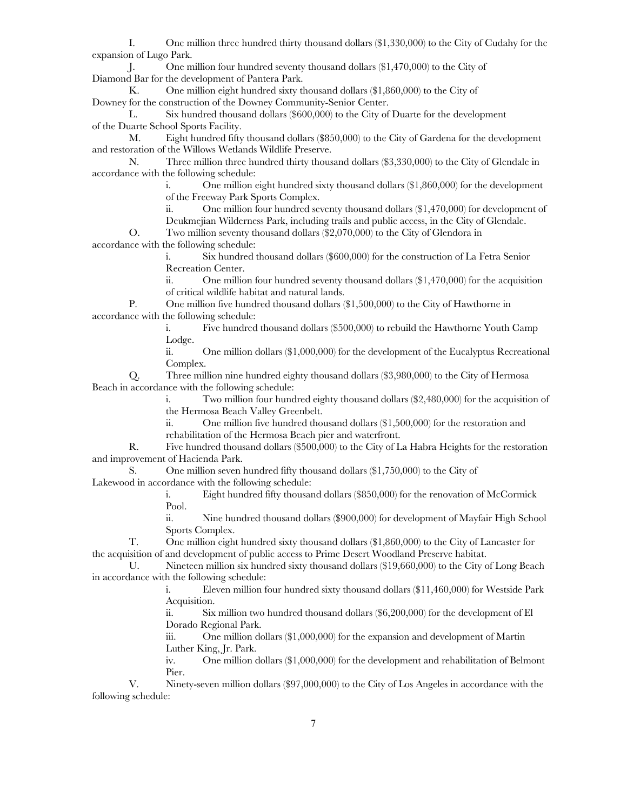I. One million three hundred thirty thousand dollars (\$1,330,000) to the City of Cudahy for the expansion of Lugo Park.

J. One million four hundred seventy thousand dollars (\$1,470,000) to the City of Diamond Bar for the development of Pantera Park.

K. One million eight hundred sixty thousand dollars (\$1,860,000) to the City of Downey for the construction of the Downey Community-Senior Center.

L. Six hundred thousand dollars (\$600,000) to the City of Duarte for the development of the Duarte School Sports Facility.

M. Eight hundred fifty thousand dollars (\$850,000) to the City of Gardena for the development and restoration of the Willows Wetlands Wildlife Preserve.

N. Three million three hundred thirty thousand dollars (\$3,330,000) to the City of Glendale in accordance with the following schedule:

i. One million eight hundred sixty thousand dollars (\$1,860,000) for the development of the Freeway Park Sports Complex.

ii. One million four hundred seventy thousand dollars (\$1,470,000) for development of

Deukmejian Wilderness Park, including trails and public access, in the City of Glendale.

O. Two million seventy thousand dollars (\$2,070,000) to the City of Glendora in accordance with the following schedule:

> i. Six hundred thousand dollars (\$600,000) for the construction of La Fetra Senior Recreation Center.

ii. One million four hundred seventy thousand dollars (\$1,470,000) for the acquisition of critical wildlife habitat and natural lands.

P. One million five hundred thousand dollars (\$1,500,000) to the City of Hawthorne in accordance with the following schedule:

> i. Five hundred thousand dollars (\$500,000) to rebuild the Hawthorne Youth Camp Lodge.

ii. One million dollars (\$1,000,000) for the development of the Eucalyptus Recreational Complex.

Q. Three million nine hundred eighty thousand dollars (\$3,980,000) to the City of Hermosa Beach in accordance with the following schedule:

i. Two million four hundred eighty thousand dollars (\$2,480,000) for the acquisition of the Hermosa Beach Valley Greenbelt.

ii. One million five hundred thousand dollars (\$1,500,000) for the restoration and rehabilitation of the Hermosa Beach pier and waterfront.

R. Five hundred thousand dollars (\$500,000) to the City of La Habra Heights for the restoration and improvement of Hacienda Park.

S. One million seven hundred fifty thousand dollars (\$1,750,000) to the City of Lakewood in accordance with the following schedule:

> i. Eight hundred fifty thousand dollars (\$850,000) for the renovation of McCormick Pool.

ii. Nine hundred thousand dollars (\$900,000) for development of Mayfair High School Sports Complex.

T. One million eight hundred sixty thousand dollars (\$1,860,000) to the City of Lancaster for the acquisition of and development of public access to Prime Desert Woodland Preserve habitat.

U. Nineteen million six hundred sixty thousand dollars (\$19,660,000) to the City of Long Beach in accordance with the following schedule:

> i. Eleven million four hundred sixty thousand dollars (\$11,460,000) for Westside Park Acquisition.

ii. Six million two hundred thousand dollars (\$6,200,000) for the development of El Dorado Regional Park.

iii. One million dollars (\$1,000,000) for the expansion and development of Martin Luther King, Jr. Park.

iv. One million dollars (\$1,000,000) for the development and rehabilitation of Belmont Pier.

V. Ninety-seven million dollars (\$97,000,000) to the City of Los Angeles in accordance with the following schedule: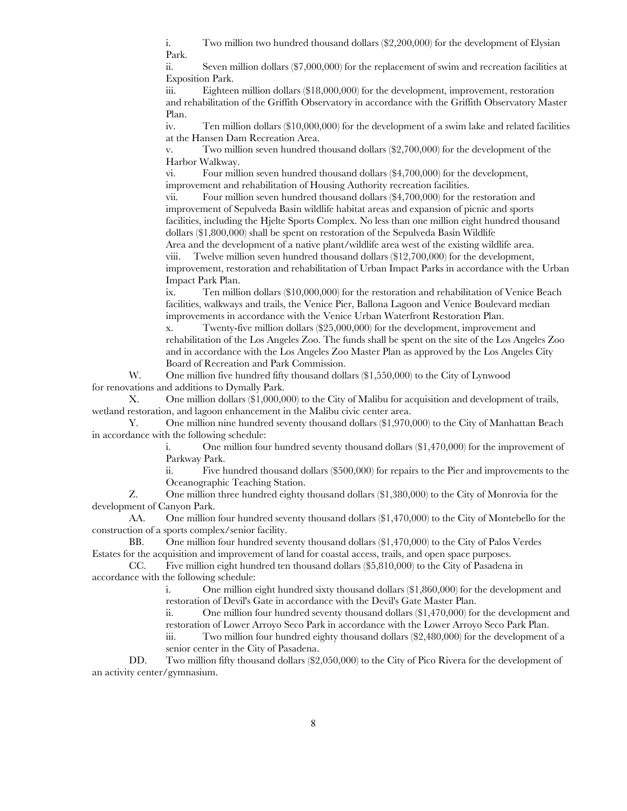i. Two million two hundred thousand dollars (\$2,200,000) for the development of Elysian Park.

ii. Seven million dollars (\$7,000,000) for the replacement of swim and recreation facilities at Exposition Park.

iii. Eighteen million dollars (\$18,000,000) for the development, improvement, restoration and rehabilitation of the Griffith Observatory in accordance with the Griffith Observatory Master Plan.

iv. Ten million dollars (\$10,000,000) for the development of a swim lake and related facilities at the Hansen Dam Recreation Area.

v. Two million seven hundred thousand dollars (\$2,700,000) for the development of the Harbor Walkway.

vi. Four million seven hundred thousand dollars (\$4,700,000) for the development, improvement and rehabilitation of Housing Authority recreation facilities.

vii. Four million seven hundred thousand dollars (\$4,700,000) for the restoration and improvement of Sepulveda Basin wildlife habitat areas and expansion of picnic and sports facilities, including the Hjelte Sports Complex. No less than one million eight hundred thousand dollars (\$1,800,000) shall be spent on restoration of the Sepulveda Basin Wildlife

Area and the development of a native plant/wildlife area west of the existing wildlife area. viii. Twelve million seven hundred thousand dollars (\$12,700,000) for the development, improvement, restoration and rehabilitation of Urban Impact Parks in accordance with the Urban Impact Park Plan.

ix. Ten million dollars (\$10,000,000) for the restoration and rehabilitation of Venice Beach facilities, walkways and trails, the Venice Pier, Ballona Lagoon and Venice Boulevard median improvements in accordance with the Venice Urban Waterfront Restoration Plan.

x. Twenty-five million dollars (\$25,000,000) for the development, improvement and rehabilitation of the Los Angeles Zoo. The funds shall be spent on the site of the Los Angeles Zoo and in accordance with the Los Angeles Zoo Master Plan as approved by the Los Angeles City Board of Recreation and Park Commission.

W. One million five hundred fifty thousand dollars  $(\$1,550,000)$  to the City of Lynwood for renovations and additions to Dymally Park.

X. One million dollars (\$1,000,000) to the City of Malibu for acquisition and development of trails, wetland restoration, and lagoon enhancement in the Malibu civic center area.

Y. One million nine hundred seventy thousand dollars (\$1,970,000) to the City of Manhattan Beach in accordance with the following schedule:

> i. One million four hundred seventy thousand dollars (\$1,470,000) for the improvement of Parkway Park.

ii. Five hundred thousand dollars (\$500,000) for repairs to the Pier and improvements to the Oceanographic Teaching Station.

Z. One million three hundred eighty thousand dollars (\$1,380,000) to the City of Monrovia for the development of Canyon Park.

AA. One million four hundred seventy thousand dollars (\$1,470,000) to the City of Montebello for the construction of a sports complex/senior facility.

BB. One million four hundred seventy thousand dollars (\$1,470,000) to the City of Palos Verdes Estates for the acquisition and improvement of land for coastal access, trails, and open space purposes.

CC. Five million eight hundred ten thousand dollars (\$5,810,000) to the City of Pasadena in accordance with the following schedule:

> i. One million eight hundred sixty thousand dollars (\$1,860,000) for the development and restoration of Devil's Gate in accordance with the Devil's Gate Master Plan.

ii. One million four hundred seventy thousand dollars (\$1,470,000) for the development and restoration of Lower Arroyo Seco Park in accordance with the Lower Arroyo Seco Park Plan.

iii. Two million four hundred eighty thousand dollars (\$2,480,000) for the development of a senior center in the City of Pasadena.

DD. Two million fifty thousand dollars (\$2,050,000) to the City of Pico Rivera for the development of an activity center/gymnasium.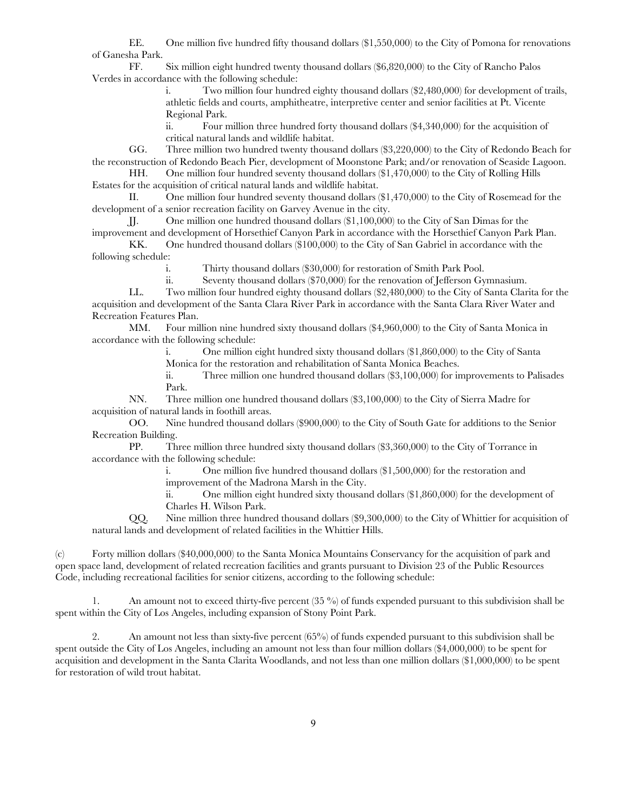EE. One million five hundred fifty thousand dollars (\$1,550,000) to the City of Pomona for renovations of Ganesha Park.

FF. Six million eight hundred twenty thousand dollars (\$6,820,000) to the City of Rancho Palos Verdes in accordance with the following schedule:

> i. Two million four hundred eighty thousand dollars (\$2,480,000) for development of trails, athletic fields and courts, amphitheatre, interpretive center and senior facilities at Pt. Vicente Regional Park.

ii. Four million three hundred forty thousand dollars (\$4,340,000) for the acquisition of critical natural lands and wildlife habitat.

GG. Three million two hundred twenty thousand dollars (\$3,220,000) to the City of Redondo Beach for the reconstruction of Redondo Beach Pier, development of Moonstone Park; and/or renovation of Seaside Lagoon.

HH. One million four hundred seventy thousand dollars (\$1,470,000) to the City of Rolling Hills Estates for the acquisition of critical natural lands and wildlife habitat.

II. One million four hundred seventy thousand dollars (\$1,470,000) to the City of Rosemead for the development of a senior recreation facility on Garvey Avenue in the city.

JJ. One million one hundred thousand dollars (\$1,100,000) to the City of San Dimas for the improvement and development of Horsethief Canyon Park in accordance with the Horsethief Canyon Park Plan.

KK. One hundred thousand dollars (\$100,000) to the City of San Gabriel in accordance with the following schedule:

i. Thirty thousand dollars (\$30,000) for restoration of Smith Park Pool.

ii. Seventy thousand dollars (\$70,000) for the renovation of Jefferson Gymnasium.

LL. Two million four hundred eighty thousand dollars (\$2,480,000) to the City of Santa Clarita for the acquisition and development of the Santa Clara River Park in accordance with the Santa Clara River Water and Recreation Features Plan.

MM. Four million nine hundred sixty thousand dollars (\$4,960,000) to the City of Santa Monica in accordance with the following schedule:

i. One million eight hundred sixty thousand dollars (\$1,860,000) to the City of Santa

Monica for the restoration and rehabilitation of Santa Monica Beaches.

ii. Three million one hundred thousand dollars (\$3,100,000) for improvements to Palisades Park.

NN. Three million one hundred thousand dollars (\$3,100,000) to the City of Sierra Madre for acquisition of natural lands in foothill areas.

OO. Nine hundred thousand dollars (\$900,000) to the City of South Gate for additions to the Senior Recreation Building.

PP. Three million three hundred sixty thousand dollars (\$3,360,000) to the City of Torrance in accordance with the following schedule:

> i. One million five hundred thousand dollars (\$1,500,000) for the restoration and improvement of the Madrona Marsh in the City.

ii. One million eight hundred sixty thousand dollars (\$1,860,000) for the development of Charles H. Wilson Park.

QQ. Nine million three hundred thousand dollars (\$9,300,000) to the City of Whittier for acquisition of natural lands and development of related facilities in the Whittier Hills.

(c) Forty million dollars (\$40,000,000) to the Santa Monica Mountains Conservancy for the acquisition of park and open space land, development of related recreation facilities and grants pursuant to Division 23 of the Public Resources Code, including recreational facilities for senior citizens, according to the following schedule:

1. An amount not to exceed thirty-five percent (35 %) of funds expended pursuant to this subdivision shall be spent within the City of Los Angeles, including expansion of Stony Point Park.

2. An amount not less than sixty-five percent (65%) of funds expended pursuant to this subdivision shall be spent outside the City of Los Angeles, including an amount not less than four million dollars (\$4,000,000) to be spent for acquisition and development in the Santa Clarita Woodlands, and not less than one million dollars (\$1,000,000) to be spent for restoration of wild trout habitat.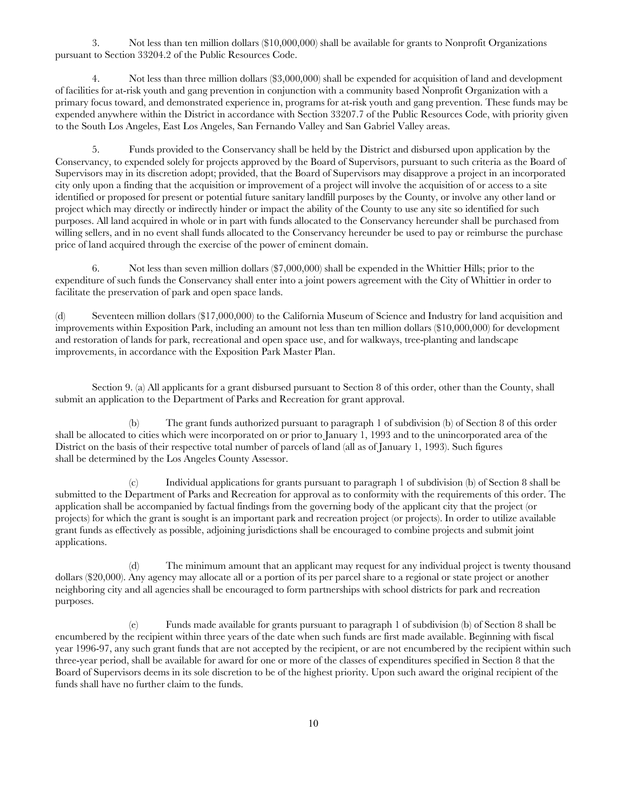3. Not less than ten million dollars (\$10,000,000) shall be available for grants to Nonprofit Organizations pursuant to Section 33204.2 of the Public Resources Code.

4. Not less than three million dollars (\$3,000,000) shall be expended for acquisition of land and development of facilities for at-risk youth and gang prevention in conjunction with a community based Nonprofit Organization with a primary focus toward, and demonstrated experience in, programs for at-risk youth and gang prevention. These funds may be expended anywhere within the District in accordance with Section 33207.7 of the Public Resources Code, with priority given to the South Los Angeles, East Los Angeles, San Fernando Valley and San Gabriel Valley areas.

5. Funds provided to the Conservancy shall be held by the District and disbursed upon application by the Conservancy, to expended solely for projects approved by the Board of Supervisors, pursuant to such criteria as the Board of Supervisors may in its discretion adopt; provided, that the Board of Supervisors may disapprove a project in an incorporated city only upon a finding that the acquisition or improvement of a project will involve the acquisition of or access to a site identified or proposed for present or potential future sanitary landfill purposes by the County, or involve any other land or project which may directly or indirectly hinder or impact the ability of the County to use any site so identified for such purposes. All land acquired in whole or in part with funds allocated to the Conservancy hereunder shall be purchased from willing sellers, and in no event shall funds allocated to the Conservancy hereunder be used to pay or reimburse the purchase price of land acquired through the exercise of the power of eminent domain.

6. Not less than seven million dollars (\$7,000,000) shall be expended in the Whittier Hills; prior to the expenditure of such funds the Conservancy shall enter into a joint powers agreement with the City of Whittier in order to facilitate the preservation of park and open space lands.

(d) Seventeen million dollars (\$17,000,000) to the California Museum of Science and Industry for land acquisition and improvements within Exposition Park, including an amount not less than ten million dollars (\$10,000,000) for development and restoration of lands for park, recreational and open space use, and for walkways, tree-planting and landscape improvements, in accordance with the Exposition Park Master Plan.

Section 9. (a) All applicants for a grant disbursed pursuant to Section 8 of this order, other than the County, shall submit an application to the Department of Parks and Recreation for grant approval.

(b) The grant funds authorized pursuant to paragraph 1 of subdivision (b) of Section 8 of this order shall be allocated to cities which were incorporated on or prior to January 1, 1993 and to the unincorporated area of the District on the basis of their respective total number of parcels of land (all as of January 1, 1993). Such figures shall be determined by the Los Angeles County Assessor.

(c) Individual applications for grants pursuant to paragraph 1 of subdivision (b) of Section 8 shall be submitted to the Department of Parks and Recreation for approval as to conformity with the requirements of this order. The application shall be accompanied by factual findings from the governing body of the applicant city that the project (or projects) for which the grant is sought is an important park and recreation project (or projects). In order to utilize available grant funds as effectively as possible, adjoining jurisdictions shall be encouraged to combine projects and submit joint applications.

(d) The minimum amount that an applicant may request for any individual project is twenty thousand dollars (\$20,000). Any agency may allocate all or a portion of its per parcel share to a regional or state project or another neighboring city and all agencies shall be encouraged to form partnerships with school districts for park and recreation purposes.

(e) Funds made available for grants pursuant to paragraph 1 of subdivision (b) of Section 8 shall be encumbered by the recipient within three years of the date when such funds are first made available. Beginning with fiscal year 1996-97, any such grant funds that are not accepted by the recipient, or are not encumbered by the recipient within such three-year period, shall be available for award for one or more of the classes of expenditures specified in Section 8 that the Board of Supervisors deems in its sole discretion to be of the highest priority. Upon such award the original recipient of the funds shall have no further claim to the funds.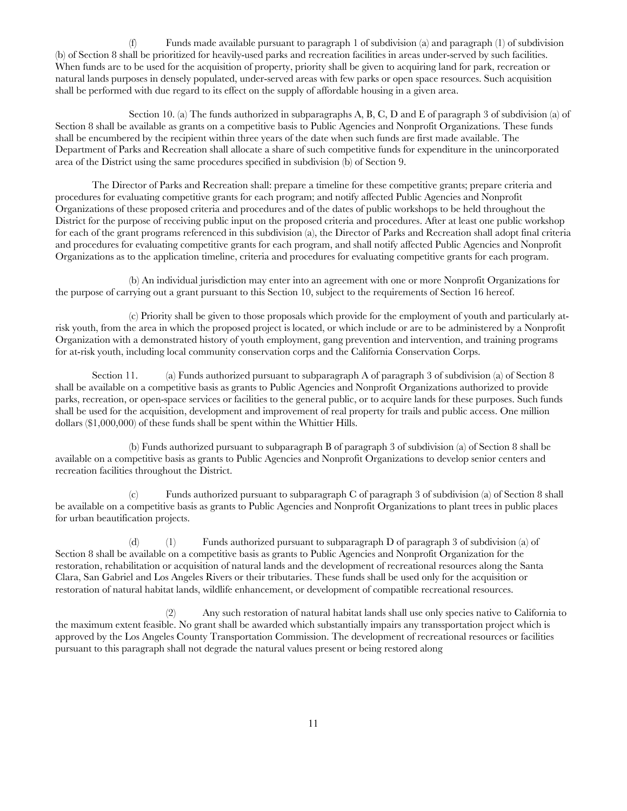(f) Funds made available pursuant to paragraph 1 of subdivision (a) and paragraph (1) of subdivision (b) of Section 8 shall be prioritized for heavily-used parks and recreation facilities in areas under-served by such facilities. When funds are to be used for the acquisition of property, priority shall be given to acquiring land for park, recreation or natural lands purposes in densely populated, under-served areas with few parks or open space resources. Such acquisition shall be performed with due regard to its effect on the supply of affordable housing in a given area.

Section 10. (a) The funds authorized in subparagraphs A, B, C, D and E of paragraph 3 of subdivision (a) of Section 8 shall be available as grants on a competitive basis to Public Agencies and Nonprofit Organizations. These funds shall be encumbered by the recipient within three years of the date when such funds are first made available. The Department of Parks and Recreation shall allocate a share of such competitive funds for expenditure in the unincorporated area of the District using the same procedures specified in subdivision (b) of Section 9.

The Director of Parks and Recreation shall: prepare a timeline for these competitive grants; prepare criteria and procedures for evaluating competitive grants for each program; and notify affected Public Agencies and Nonprofit Organizations of these proposed criteria and procedures and of the dates of public workshops to be held throughout the District for the purpose of receiving public input on the proposed criteria and procedures. After at least one public workshop for each of the grant programs referenced in this subdivision (a), the Director of Parks and Recreation shall adopt final criteria and procedures for evaluating competitive grants for each program, and shall notify affected Public Agencies and Nonprofit Organizations as to the application timeline, criteria and procedures for evaluating competitive grants for each program.

(b) An individual jurisdiction may enter into an agreement with one or more Nonprofit Organizations for the purpose of carrying out a grant pursuant to this Section 10, subject to the requirements of Section 16 hereof.

(c) Priority shall be given to those proposals which provide for the employment of youth and particularly atrisk youth, from the area in which the proposed project is located, or which include or are to be administered by a Nonprofit Organization with a demonstrated history of youth employment, gang prevention and intervention, and training programs for at-risk youth, including local community conservation corps and the California Conservation Corps.

Section 11. (a) Funds authorized pursuant to subparagraph A of paragraph 3 of subdivision (a) of Section 8 shall be available on a competitive basis as grants to Public Agencies and Nonprofit Organizations authorized to provide parks, recreation, or open-space services or facilities to the general public, or to acquire lands for these purposes. Such funds shall be used for the acquisition, development and improvement of real property for trails and public access. One million dollars (\$1,000,000) of these funds shall be spent within the Whittier Hills.

(b) Funds authorized pursuant to subparagraph B of paragraph 3 of subdivision (a) of Section 8 shall be available on a competitive basis as grants to Public Agencies and Nonprofit Organizations to develop senior centers and recreation facilities throughout the District.

(c) Funds authorized pursuant to subparagraph C of paragraph 3 of subdivision (a) of Section 8 shall be available on a competitive basis as grants to Public Agencies and Nonprofit Organizations to plant trees in public places for urban beautification projects.

(d) (1) Funds authorized pursuant to subparagraph D of paragraph 3 of subdivision (a) of Section 8 shall be available on a competitive basis as grants to Public Agencies and Nonprofit Organization for the restoration, rehabilitation or acquisition of natural lands and the development of recreational resources along the Santa Clara, San Gabriel and Los Angeles Rivers or their tributaries. These funds shall be used only for the acquisition or restoration of natural habitat lands, wildlife enhancement, or development of compatible recreational resources.

(2) Any such restoration of natural habitat lands shall use only species native to California to the maximum extent feasible. No grant shall be awarded which substantially impairs any transsportation project which is approved by the Los Angeles County Transportation Commission. The development of recreational resources or facilities pursuant to this paragraph shall not degrade the natural values present or being restored along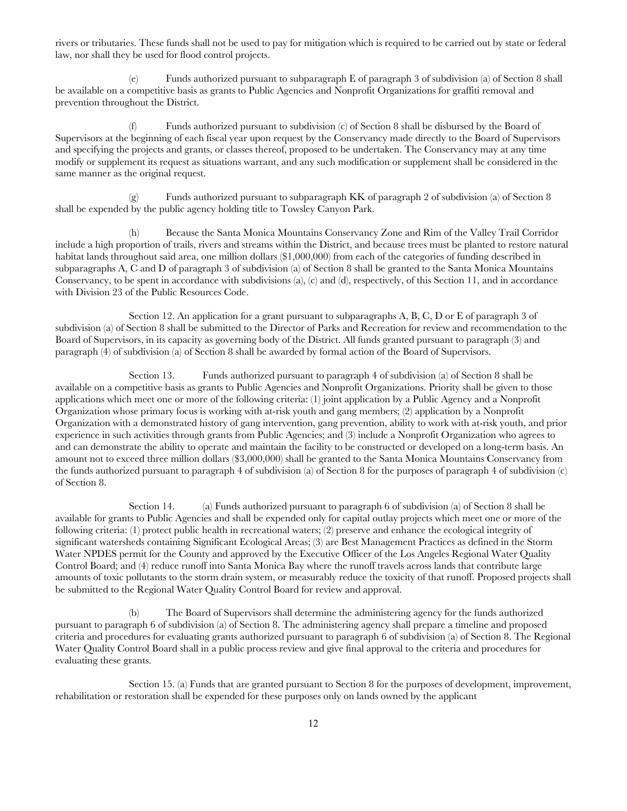rivers or tributaries. These funds shall not be used to pay for mitigation which is required to be carried out by state or federal law, nor shall they be used for flood control projects.

(e) Funds authorized pursuant to subparagraph E of paragraph 3 of subdivision (a) of Section 8 shall be available on a competitive basis as grants to Public Agencies and Nonprofit Organizations for graffiti removal and prevention throughout the District.

(f) Funds authorized pursuant to subdivision (c) of Section 8 shall be disbursed by the Board of Supervisors at the beginning of each fiscal year upon request by the Conservancy made directly to the Board of Supervisors and specifying the projects and grants, or classes thereof, proposed to be undertaken. The Conservancy may at any time modify or supplement its request as situations warrant, and any such modification or supplement shall be considered in the same manner as the original request.

(g) Funds authorized pursuant to subparagraph KK of paragraph 2 of subdivision (a) of Section 8 shall be expended by the public agency holding title to Towsley Canyon Park.

(h) Because the Santa Monica Mountains Conservancy Zone and Rim of the Valley Trail Corridor include a high proportion of trails, rivers and streams within the District, and because trees must be planted to restore natural habitat lands throughout said area, one million dollars (\$1,000,000) from each of the categories of funding described in subparagraphs A, C and D of paragraph 3 of subdivision (a) of Section 8 shall be granted to the Santa Monica Mountains Conservancy, to be spent in accordance with subdivisions (a), (c) and (d), respectively, of this Section 11, and in accordance with Division 23 of the Public Resources Code.

Section 12. An application for a grant pursuant to subparagraphs A, B, C, D or E of paragraph 3 of subdivision (a) of Section 8 shall be submitted to the Director of Parks and Recreation for review and recommendation to the Board of Supervisors, in its capacity as governing body of the District. All funds granted pursuant to paragraph (3) and paragraph (4) of subdivision (a) of Section 8 shall be awarded by formal action of the Board of Supervisors.

Section 13. Funds authorized pursuant to paragraph 4 of subdivision (a) of Section 8 shall be available on a competitive basis as grants to Public Agencies and Nonprofit Organizations. Priority shall be given to those applications which meet one or more of the following criteria: (1) joint application by a Public Agency and a Nonprofit Organization whose primary focus is working with at-risk youth and gang members; (2) application by a Nonprofit Organization with a demonstrated history of gang intervention, gang prevention, ability to work with at-risk youth, and prior experience in such activities through grants from Public Agencies; and (3) include a Nonprofit Organization who agrees to and can demonstrate the ability to operate and maintain the facility to be constructed or developed on a long-term basis. An amount not to exceed three million dollars (\$3,000,000) shall be granted to the Santa Monica Mountains Conservancy from the funds authorized pursuant to paragraph 4 of subdivision (a) of Section 8 for the purposes of paragraph 4 of subdivision (c) of Section 8.

Section 14. (a) Funds authorized pursuant to paragraph 6 of subdivision (a) of Section 8 shall be available for grants to Public Agencies and shall be expended only for capital outlay projects which meet one or more of the following criteria: (1) protect public health in recreational waters; (2) preserve and enhance the ecological integrity of significant watersheds containing Significant Ecological Areas; (3) are Best Management Practices as defined in the Storm Water NPDES permit for the County and approved by the Executive Officer of the Los Angeles Regional Water Quality Control Board; and (4) reduce runoff into Santa Monica Bay where the runoff travels across lands that contribute large amounts of toxic pollutants to the storm drain system, or measurably reduce the toxicity of that runoff. Proposed projects shall be submitted to the Regional Water Quality Control Board for review and approval.

(b) The Board of Supervisors shall determine the administering agency for the funds authorized pursuant to paragraph 6 of subdivision (a) of Section 8. The administering agency shall prepare a timeline and proposed criteria and procedures for evaluating grants authorized pursuant to paragraph 6 of subdivision (a) of Section 8. The Regional Water Quality Control Board shall in a public process review and give final approval to the criteria and procedures for evaluating these grants.

Section 15. (a) Funds that are granted pursuant to Section 8 for the purposes of development, improvement, rehabilitation or restoration shall be expended for these purposes only on lands owned by the applicant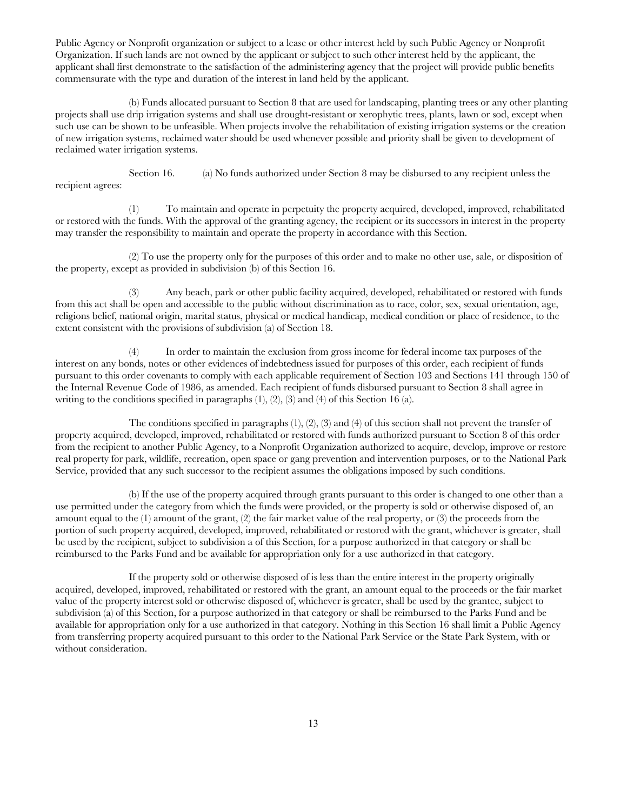Public Agency or Nonprofit organization or subject to a lease or other interest held by such Public Agency or Nonprofit Organization. If such lands are not owned by the applicant or subject to such other interest held by the applicant, the applicant shall first demonstrate to the satisfaction of the administering agency that the project will provide public benefits commensurate with the type and duration of the interest in land held by the applicant.

(b) Funds allocated pursuant to Section 8 that are used for landscaping, planting trees or any other planting projects shall use drip irrigation systems and shall use drought-resistant or xerophytic trees, plants, lawn or sod, except when such use can be shown to be unfeasible. When projects involve the rehabilitation of existing irrigation systems or the creation of new irrigation systems, reclaimed water should be used whenever possible and priority shall be given to development of reclaimed water irrigation systems.

Section 16. (a) No funds authorized under Section 8 may be disbursed to any recipient unless the recipient agrees:

(1) To maintain and operate in perpetuity the property acquired, developed, improved, rehabilitated or restored with the funds. With the approval of the granting agency, the recipient or its successors in interest in the property may transfer the responsibility to maintain and operate the property in accordance with this Section.

(2) To use the property only for the purposes of this order and to make no other use, sale, or disposition of the property, except as provided in subdivision (b) of this Section 16.

(3) Any beach, park or other public facility acquired, developed, rehabilitated or restored with funds from this act shall be open and accessible to the public without discrimination as to race, color, sex, sexual orientation, age, religions belief, national origin, marital status, physical or medical handicap, medical condition or place of residence, to the extent consistent with the provisions of subdivision (a) of Section 18.

(4) In order to maintain the exclusion from gross income for federal income tax purposes of the interest on any bonds, notes or other evidences of indebtedness issued for purposes of this order, each recipient of funds pursuant to this order covenants to comply with each applicable requirement of Section 103 and Sections 141 through 150 of the Internal Revenue Code of 1986, as amended. Each recipient of funds disbursed pursuant to Section 8 shall agree in writing to the conditions specified in paragraphs (1), (2), (3) and (4) of this Section 16 (a).

The conditions specified in paragraphs (1), (2), (3) and (4) of this section shall not prevent the transfer of property acquired, developed, improved, rehabilitated or restored with funds authorized pursuant to Section 8 of this order from the recipient to another Public Agency, to a Nonprofit Organization authorized to acquire, develop, improve or restore real property for park, wildlife, recreation, open space or gang prevention and intervention purposes, or to the National Park Service, provided that any such successor to the recipient assumes the obligations imposed by such conditions.

(b) If the use of the property acquired through grants pursuant to this order is changed to one other than a use permitted under the category from which the funds were provided, or the property is sold or otherwise disposed of, an amount equal to the (1) amount of the grant, (2) the fair market value of the real property, or (3) the proceeds from the portion of such property acquired, developed, improved, rehabilitated or restored with the grant, whichever is greater, shall be used by the recipient, subject to subdivision a of this Section, for a purpose authorized in that category or shall be reimbursed to the Parks Fund and be available for appropriation only for a use authorized in that category.

If the property sold or otherwise disposed of is less than the entire interest in the property originally acquired, developed, improved, rehabilitated or restored with the grant, an amount equal to the proceeds or the fair market value of the property interest sold or otherwise disposed of, whichever is greater, shall be used by the grantee, subject to subdivision (a) of this Section, for a purpose authorized in that category or shall be reimbursed to the Parks Fund and be available for appropriation only for a use authorized in that category. Nothing in this Section 16 shall limit a Public Agency from transferring property acquired pursuant to this order to the National Park Service or the State Park System, with or without consideration.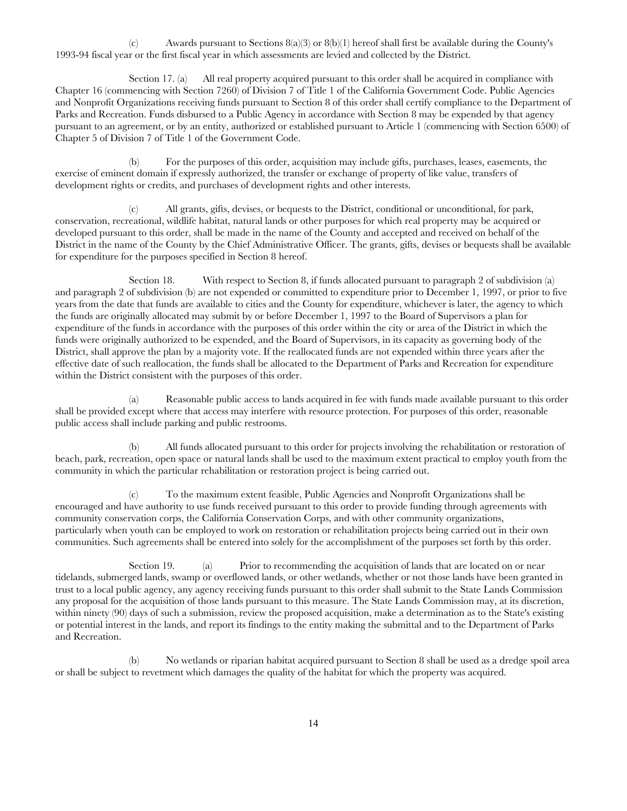(c) Awards pursuant to Sections  $8(a)(3)$  or  $8(b)(1)$  hereof shall first be available during the County's 1993-94 fiscal year or the first fiscal year in which assessments are levied and collected by the District.

Section 17. (a) All real property acquired pursuant to this order shall be acquired in compliance with Chapter 16 (commencing with Section 7260) of Division 7 of Title 1 of the California Government Code. Public Agencies and Nonprofit Organizations receiving funds pursuant to Section 8 of this order shall certify compliance to the Department of Parks and Recreation. Funds disbursed to a Public Agency in accordance with Section 8 may be expended by that agency pursuant to an agreement, or by an entity, authorized or established pursuant to Article 1 (commencing with Section 6500) of Chapter 5 of Division 7 of Title 1 of the Government Code.

(b) For the purposes of this order, acquisition may include gifts, purchases, leases, easements, the exercise of eminent domain if expressly authorized, the transfer or exchange of property of like value, transfers of development rights or credits, and purchases of development rights and other interests.

(c) All grants, gifts, devises, or bequests to the District, conditional or unconditional, for park, conservation, recreational, wildlife habitat, natural lands or other purposes for which real property may be acquired or developed pursuant to this order, shall be made in the name of the County and accepted and received on behalf of the District in the name of the County by the Chief Administrative Officer. The grants, gifts, devises or bequests shall be available for expenditure for the purposes specified in Section 8 hereof.

Section 18. With respect to Section 8, if funds allocated pursuant to paragraph 2 of subdivision (a) and paragraph 2 of subdivision (b) are not expended or committed to expenditure prior to December 1, 1997, or prior to five years from the date that funds are available to cities and the County for expenditure, whichever is later, the agency to which the funds are originally allocated may submit by or before December 1, 1997 to the Board of Supervisors a plan for expenditure of the funds in accordance with the purposes of this order within the city or area of the District in which the funds were originally authorized to be expended, and the Board of Supervisors, in its capacity as governing body of the District, shall approve the plan by a majority vote. If the reallocated funds are not expended within three years after the effective date of such reallocation, the funds shall be allocated to the Department of Parks and Recreation for expenditure within the District consistent with the purposes of this order.

(a) Reasonable public access to lands acquired in fee with funds made available pursuant to this order shall be provided except where that access may interfere with resource protection. For purposes of this order, reasonable public access shall include parking and public restrooms.

(b) All funds allocated pursuant to this order for projects involving the rehabilitation or restoration of beach, park, recreation, open space or natural lands shall be used to the maximum extent practical to employ youth from the community in which the particular rehabilitation or restoration project is being carried out.

(c) To the maximum extent feasible, Public Agencies and Nonprofit Organizations shall be encouraged and have authority to use funds received pursuant to this order to provide funding through agreements with community conservation corps, the California Conservation Corps, and with other community organizations, particularly when youth can be employed to work on restoration or rehabilitation projects being carried out in their own communities. Such agreements shall be entered into solely for the accomplishment of the purposes set forth by this order.

Section 19. (a) Prior to recommending the acquisition of lands that are located on or near tidelands, submerged lands, swamp or overflowed lands, or other wetlands, whether or not those lands have been granted in trust to a local public agency, any agency receiving funds pursuant to this order shall submit to the State Lands Commission any proposal for the acquisition of those lands pursuant to this measure. The State Lands Commission may, at its discretion, within ninety (90) days of such a submission, review the proposed acquisition, make a determination as to the State's existing or potential interest in the lands, and report its findings to the entity making the submittal and to the Department of Parks and Recreation.

(b) No wetlands or riparian habitat acquired pursuant to Section 8 shall be used as a dredge spoil area or shall be subject to revetment which damages the quality of the habitat for which the property was acquired.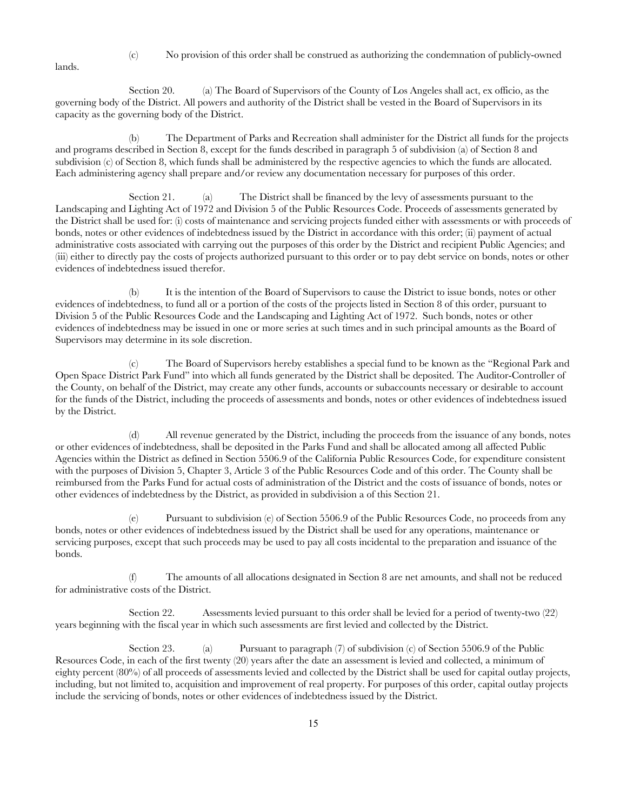lands.

(c) No provision of this order shall be construed as authorizing the condemnation of publicly-owned

Section 20. (a) The Board of Supervisors of the County of Los Angeles shall act, ex officio, as the governing body of the District. All powers and authority of the District shall be vested in the Board of Supervisors in its capacity as the governing body of the District.

(b) The Department of Parks and Recreation shall administer for the District all funds for the projects and programs described in Section 8, except for the funds described in paragraph 5 of subdivision (a) of Section 8 and subdivision (c) of Section 8, which funds shall be administered by the respective agencies to which the funds are allocated. Each administering agency shall prepare and/or review any documentation necessary for purposes of this order.

Section 21. (a) The District shall be financed by the levy of assessments pursuant to the Landscaping and Lighting Act of 1972 and Division 5 of the Public Resources Code. Proceeds of assessments generated by the District shall be used for: (i) costs of maintenance and servicing projects funded either with assessments or with proceeds of bonds, notes or other evidences of indebtedness issued by the District in accordance with this order; (ii) payment of actual administrative costs associated with carrying out the purposes of this order by the District and recipient Public Agencies; and (iii) either to directly pay the costs of projects authorized pursuant to this order or to pay debt service on bonds, notes or other evidences of indebtedness issued therefor.

(b) It is the intention of the Board of Supervisors to cause the District to issue bonds, notes or other evidences of indebtedness, to fund all or a portion of the costs of the projects listed in Section 8 of this order, pursuant to Division 5 of the Public Resources Code and the Landscaping and Lighting Act of 1972. Such bonds, notes or other evidences of indebtedness may be issued in one or more series at such times and in such principal amounts as the Board of Supervisors may determine in its sole discretion.

(c) The Board of Supervisors hereby establishes a special fund to be known as the "Regional Park and Open Space District Park Fund" into which all funds generated by the District shall be deposited. The Auditor-Controller of the County, on behalf of the District, may create any other funds, accounts or subaccounts necessary or desirable to account for the funds of the District, including the proceeds of assessments and bonds, notes or other evidences of indebtedness issued by the District.

(d) All revenue generated by the District, including the proceeds from the issuance of any bonds, notes or other evidences of indebtedness, shall be deposited in the Parks Fund and shall be allocated among all affected Public Agencies within the District as defined in Section 5506.9 of the California Public Resources Code, for expenditure consistent with the purposes of Division 5, Chapter 3, Article 3 of the Public Resources Code and of this order. The County shall be reimbursed from the Parks Fund for actual costs of administration of the District and the costs of issuance of bonds, notes or other evidences of indebtedness by the District, as provided in subdivision a of this Section 21.

(e) Pursuant to subdivision (e) of Section 5506.9 of the Public Resources Code, no proceeds from any bonds, notes or other evidences of indebtedness issued by the District shall be used for any operations, maintenance or servicing purposes, except that such proceeds may be used to pay all costs incidental to the preparation and issuance of the bonds.

(f) The amounts of all allocations designated in Section 8 are net amounts, and shall not be reduced for administrative costs of the District.

Section 22. Assessments levied pursuant to this order shall be levied for a period of twenty-two (22) years beginning with the fiscal year in which such assessments are first levied and collected by the District.

Section 23. (a) Pursuant to paragraph (7) of subdivision (c) of Section 5506.9 of the Public Resources Code, in each of the first twenty (20) years after the date an assessment is levied and collected, a minimum of eighty percent (80%) of all proceeds of assessments levied and collected by the District shall be used for capital outlay projects, including, but not limited to, acquisition and improvement of real property. For purposes of this order, capital outlay projects include the servicing of bonds, notes or other evidences of indebtedness issued by the District.